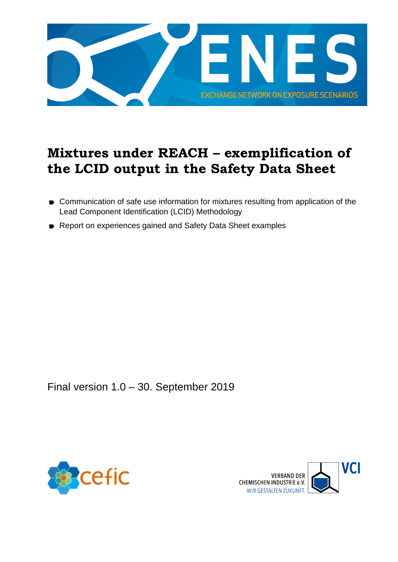

## <span id="page-0-0"></span>**Mixtures under REACH – exemplification of the LCID output in the Safety Data Sheet**

- Communication of safe use information for mixtures resulting from application of the Lead Component Identification (LCID) Methodology
- Report on experiences gained and Safety Data Sheet examples

Final version 1.0 – 30. September 2019



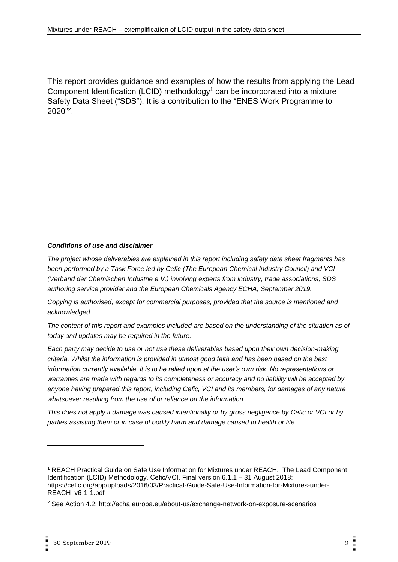This report provides guidance and examples of how the results from applying the Lead Component Identification (LCID) methodology<sup>1</sup> can be incorporated into a mixture Safety Data Sheet ("SDS"). It is a contribution to the "ENES Work Programme to 2020"<sup>2</sup> .

#### *Conditions of use and disclaimer*

*The project whose deliverables are explained in this report including safety data sheet fragments has been performed by a Task Force led by Cefic (The European Chemical Industry Council) and VCI (Verband der Chemischen Industrie e.V.) involving experts from industry, trade associations, SDS authoring service provider and the European Chemicals Agency ECHA, September 2019.*

*Copying is authorised, except for commercial purposes, provided that the source is mentioned and acknowledged.*

*The content of this report and examples included are based on the understanding of the situation as of today and updates may be required in the future.* 

*Each party may decide to use or not use these deliverables based upon their own decision-making criteria. Whilst the information is provided in utmost good faith and has been based on the best information currently available, it is to be relied upon at the user's own risk. No representations or warranties are made with regards to its completeness or accuracy and no liability will be accepted by anyone having prepared this report, including Cefic, VCI and its members, for damages of any nature whatsoever resulting from the use of or reliance on the information.* 

*This does not apply if damage was caused intentionally or by gross negligence by Cefic or VCI or by parties assisting them or in case of bodily harm and damage caused to health or life.*

<sup>1</sup> [REACH Practical Guide on Safe Use Information for Mixtures under REACH. The Lead Component](https://www.vci.de/vci/downloads-vci/publikation/vci-cefic-practical-guide-safe-use-information-for-mixtures-under-reach-lcid-methodology.pdf)  [Identification \(LCID\) Methodology, Cefic/VCI. Final version 6.1.1 –](https://www.vci.de/vci/downloads-vci/publikation/vci-cefic-practical-guide-safe-use-information-for-mixtures-under-reach-lcid-methodology.pdf) 31 August 2018: [https://cefic.org/app/uploads/2016/03/Practical-Guide-Safe-Use-Information-for-Mixtures-under-](https://cefic.org/app/uploads/2016/03/Practical-Guide-Safe-Use-Information-for-Mixtures-under-REACH_v6-1-1.pdf)[REACH\\_v6-1-1.pdf](https://cefic.org/app/uploads/2016/03/Practical-Guide-Safe-Use-Information-for-Mixtures-under-REACH_v6-1-1.pdf)

<sup>2</sup> See Action 4.2;<http://echa.europa.eu/about-us/exchange-network-on-exposure-scenarios>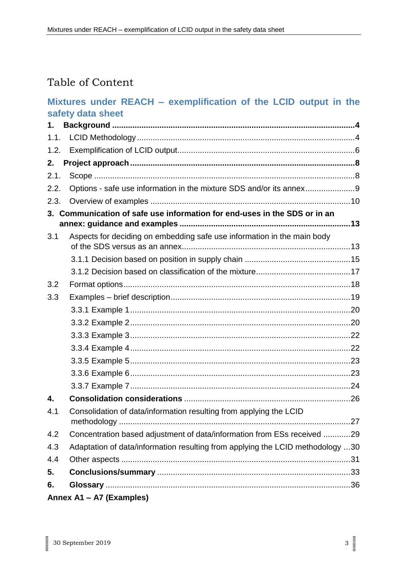### Table of Content

#### **Mixtures under REACH – [exemplification of the LCID output in the](#page-0-0)  [safety data sheet](#page-0-0)**

| 1.   |                                                                                |  |
|------|--------------------------------------------------------------------------------|--|
|      |                                                                                |  |
| 1.2. |                                                                                |  |
| 2.   |                                                                                |  |
| 2.1. |                                                                                |  |
| 2.2. | Options - safe use information in the mixture SDS and/or its annex9            |  |
| 2.3. |                                                                                |  |
|      | 3. Communication of safe use information for end-uses in the SDS or in an      |  |
| 3.1  | Aspects for deciding on embedding safe use information in the main body        |  |
|      |                                                                                |  |
|      |                                                                                |  |
| 3.2  |                                                                                |  |
| 3.3  |                                                                                |  |
|      |                                                                                |  |
|      |                                                                                |  |
|      |                                                                                |  |
|      |                                                                                |  |
|      |                                                                                |  |
|      |                                                                                |  |
|      |                                                                                |  |
| 4.   |                                                                                |  |
| 4.1  | Consolidation of data/information resulting from applying the LCID             |  |
| 4.2  | Concentration based adjustment of data/information from ESs received 29        |  |
| 4.3  | Adaptation of data/information resulting from applying the LCID methodology 30 |  |
| 4.4  |                                                                                |  |
| 5.   |                                                                                |  |
| 6.   |                                                                                |  |
|      | Annex A1 - A7 (Examples)                                                       |  |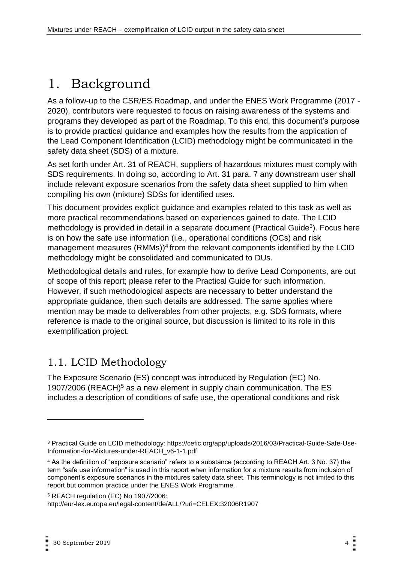# <span id="page-3-0"></span>1. Background

As a follow-up to the CSR/ES Roadmap, and under the ENES Work Programme (2017 - 2020), contributors were requested to focus on raising awareness of the systems and programs they developed as part of the Roadmap. To this end, this document's purpose is to provide practical guidance and examples how the results from the application of the Lead Component Identification (LCID) methodology might be communicated in the safety data sheet (SDS) of a mixture.

As set forth under Art. 31 of REACH, suppliers of hazardous mixtures must comply with SDS requirements. In doing so, according to Art. 31 para. 7 any downstream user shall include relevant exposure scenarios from the safety data sheet supplied to him when compiling his own (mixture) SDSs for identified uses.

This document provides explicit guidance and examples related to this task as well as more practical recommendations based on experiences gained to date. The LCID methodology is provided in detail in a separate document (Practical Guide<sup>3</sup>). Focus here is on how the safe use information (i.e., operational conditions (OCs) and risk management measures (RMMs))<sup>4</sup> from the relevant components identified by the LCID methodology might be consolidated and communicated to DUs.

Methodological details and rules, for example how to derive Lead Components, are out of scope of this report; please refer to the Practical Guide for such information. However, if such methodological aspects are necessary to better understand the appropriate guidance, then such details are addressed. The same applies where mention may be made to deliverables from other projects, e.g. SDS formats, where reference is made to the original source, but discussion is limited to its role in this exemplification project.

### <span id="page-3-1"></span>1.1. LCID Methodology

The Exposure Scenario (ES) concept was introduced by Regulation (EC) No. 1907/2006 (REACH)<sup>5</sup> as a new element in supply chain communication. The ES includes a description of conditions of safe use, the operational conditions and risk

<sup>3</sup> Practical Guide on LCID methodology: [https://cefic.org/app/uploads/2016/03/Practical-Guide-Safe-Use-](https://cefic.org/app/uploads/2016/03/Practical-Guide-Safe-Use-Information-for-Mixtures-under-REACH_v6-1-1.pdf)[Information-for-Mixtures-under-REACH\\_v6-1-1.pdf](https://cefic.org/app/uploads/2016/03/Practical-Guide-Safe-Use-Information-for-Mixtures-under-REACH_v6-1-1.pdf)

<sup>4</sup> As the definition of "exposure scenario" refers to a substance (according to REACH Art. 3 No. 37) the term "safe use information" is used in this report when information for a mixture results from inclusion of component's exposure scenarios in the mixtures safety data sheet. This terminology is not limited to this report but common practice under the ENES Work Programme.

<sup>5</sup> REACH regulation (EC) No 1907/2006:

http://eur-lex.europa.eu/legal-content/de/ALL/?uri=CELEX:32006R1907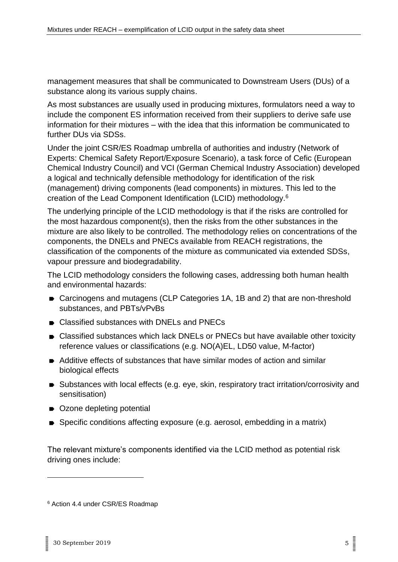management measures that shall be communicated to Downstream Users (DUs) of a substance along its various supply chains.

As most substances are usually used in producing mixtures, formulators need a way to include the component ES information received from their suppliers to derive safe use information for their mixtures – with the idea that this information be communicated to further DUs via SDSs.

Under the joint CSR/ES Roadmap umbrella of authorities and industry (Network of Experts: Chemical Safety Report/Exposure Scenario), a task force of Cefic (European Chemical Industry Council) and VCI (German Chemical Industry Association) developed a logical and technically defensible methodology for identification of the risk (management) driving components (lead components) in mixtures. This led to the creation of the Lead Component Identification (LCID) methodology.<sup>6</sup>

The underlying principle of the LCID methodology is that if the risks are controlled for the most hazardous component(s), then the risks from the other substances in the mixture are also likely to be controlled. The methodology relies on concentrations of the components, the DNELs and PNECs available from REACH registrations, the classification of the components of the mixture as communicated via extended SDSs, vapour pressure and biodegradability.

The LCID methodology considers the following cases, addressing both human health and environmental hazards:

- Carcinogens and mutagens (CLP Categories 1A, 1B and 2) that are non-threshold substances, and PBTs/vPvBs
- Classified substances with DNELs and PNECs
- Classified substances which lack DNELs or PNECs but have available other toxicity reference values or classifications (e.g. NO(A)EL, LD50 value, M-factor)
- Additive effects of substances that have similar modes of action and similar biological effects
- Substances with local effects (e.g. eye, skin, respiratory tract irritation/corrosivity and sensitisation)
- Ozone depleting potential
- Specific conditions affecting exposure (e.g. aerosol, embedding in a matrix)

The relevant mixture's components identified via the LCID method as potential risk driving ones include:

<sup>6</sup> Action 4.4 under CSR/ES Roadmap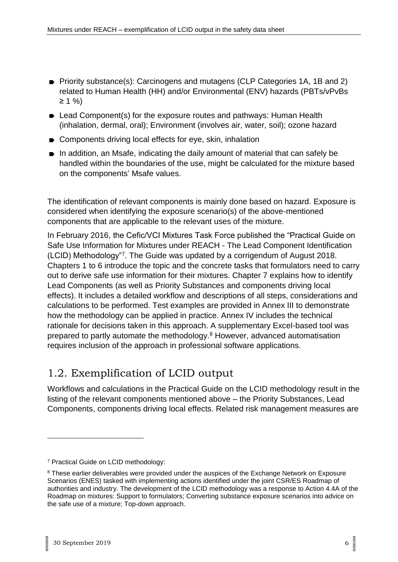- Priority substance(s): Carcinogens and mutagens (CLP Categories 1A, 1B and 2) related to Human Health (HH) and/or Environmental (ENV) hazards (PBTs/vPvBs ≥ 1 %)
- Lead Component(s) for the exposure routes and pathways: Human Health (inhalation, dermal, oral); Environment (involves air, water, soil); ozone hazard
- Components driving local effects for eye, skin, inhalation
- In addition, an Msafe, indicating the daily amount of material that can safely be handled within the boundaries of the use, might be calculated for the mixture based on the components' Msafe values.

The identification of relevant components is mainly done based on hazard. Exposure is considered when identifying the exposure scenario(s) of the above-mentioned components that are applicable to the relevant uses of the mixture.

In February 2016, the Cefic/VCI Mixtures Task Force published the "Practical Guide on Safe Use Information for Mixtures under REACH - The Lead Component Identification (LCID) Methodology"<sup>7</sup> . The Guide was updated by a corrigendum of August 2018. Chapters 1 to 6 introduce the topic and the concrete tasks that formulators need to carry out to derive safe use information for their mixtures. Chapter 7 explains how to identify Lead Components (as well as Priority Substances and components driving local effects). It includes a detailed workflow and descriptions of all steps, considerations and calculations to be performed. Test examples are provided in Annex III to demonstrate how the methodology can be applied in practice. Annex IV includes the technical rationale for decisions taken in this approach. A supplementary Excel-based tool was prepared to partly automate the methodology.<sup>8</sup> However, advanced automatisation requires inclusion of the approach in professional software applications.

### <span id="page-5-0"></span>1.2. Exemplification of LCID output

Workflows and calculations in the Practical Guide on the LCID methodology result in the listing of the relevant components mentioned above – the Priority Substances, Lead Components, components driving local effects. Related risk management measures are

<sup>7</sup> Practical Guide on LCID methodology:

<sup>&</sup>lt;sup>8</sup> These earlier deliverables were provided under the auspices of the Exchange Network on Exposure Scenarios (ENES) tasked with implementing actions identified under the joint CSR/ES Roadmap of authorities and industry. The development of the LCID methodology was a response to Action 4.4A of the Roadmap on mixtures: Support to formulators; Converting substance exposure scenarios into advice on the safe use of a mixture; Top-down approach.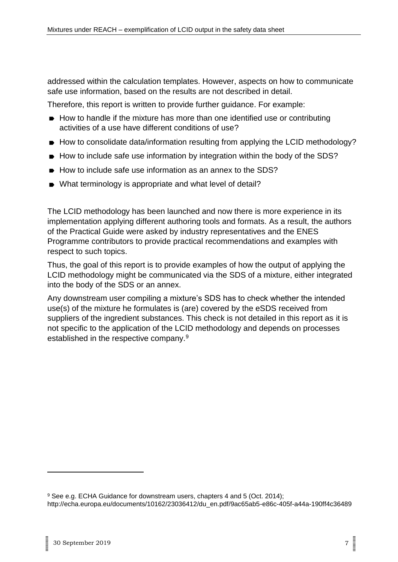addressed within the calculation templates. However, aspects on how to communicate safe use information, based on the results are not described in detail.

Therefore, this report is written to provide further guidance. For example:

- How to handle if the mixture has more than one identified use or contributing activities of a use have different conditions of use?
- How to consolidate data/information resulting from applying the LCID methodology?
- How to include safe use information by integration within the body of the SDS?
- How to include safe use information as an annex to the SDS?
- What terminology is appropriate and what level of detail?

The LCID methodology has been launched and now there is more experience in its implementation applying different authoring tools and formats. As a result, the authors of the Practical Guide were asked by industry representatives and the ENES Programme contributors to provide practical recommendations and examples with respect to such topics.

Thus, the goal of this report is to provide examples of how the output of applying the LCID methodology might be communicated via the SDS of a mixture, either integrated into the body of the SDS or an annex.

Any downstream user compiling a mixture's SDS has to check whether the intended use(s) of the mixture he formulates is (are) covered by the eSDS received from suppliers of the ingredient substances. This check is not detailed in this report as it is not specific to the application of the LCID methodology and depends on processes established in the respective company.<sup>9</sup>

<sup>&</sup>lt;sup>9</sup> See e.g. ECHA Guidance for downstream users, chapters 4 and 5 (Oct. 2014); [http://echa.europa.eu/documents/10162/23036412/du\\_en.pdf/9ac65ab5-e86c-405f-a44a-190ff4c36489](http://echa.europa.eu/documents/10162/23036412/du_en.pdf/9ac65ab5-e86c-405f-a44a-190ff4c36489)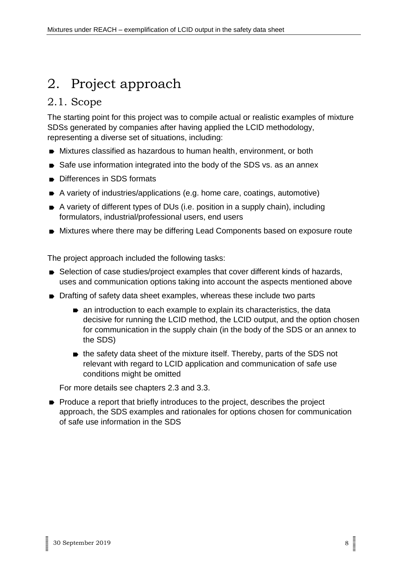# <span id="page-7-0"></span>2. Project approach

### <span id="page-7-1"></span>2.1. Scope

The starting point for this project was to compile actual or realistic examples of mixture SDSs generated by companies after having applied the LCID methodology, representing a diverse set of situations, including:

- Mixtures classified as hazardous to human health, environment, or both
- Safe use information integrated into the body of the SDS vs. as an annex
- Differences in SDS formats
- A variety of industries/applications (e.g. home care, coatings, automotive)
- A variety of different types of DUs (i.e. position in a supply chain), including formulators, industrial/professional users, end users
- Mixtures where there may be differing Lead Components based on exposure route

The project approach included the following tasks:

- Selection of case studies/project examples that cover different kinds of hazards, uses and communication options taking into account the aspects mentioned above
- Drafting of safety data sheet examples, whereas these include two parts
	- an introduction to each example to explain its characteristics, the data decisive for running the LCID method, the LCID output, and the option chosen for communication in the supply chain (in the body of the SDS or an annex to the SDS)
	- $\bullet$  the safety data sheet of the mixture itself. Thereby, parts of the SDS not relevant with regard to LCID application and communication of safe use conditions might be omitted

For more details see chapters 2.3 and 3.3.

• Produce a report that briefly introduces to the project, describes the project approach, the SDS examples and rationales for options chosen for communication of safe use information in the SDS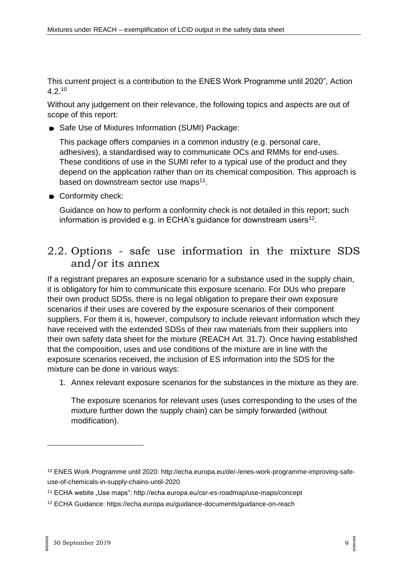This current project is a contribution to the ENES Work Programme until 2020", Action 4.2.<sup>10</sup>

Without any judgement on their relevance, the following topics and aspects are out of scope of this report:

Safe Use of Mixtures Information (SUMI) Package:

This package offers companies in a common industry (e.g. personal care, adhesives), a standardised way to communicate OCs and RMMs for end-uses. These conditions of use in the SUMI refer to a typical use of the product and they depend on the application rather than on its chemical composition. This approach is based on downstream sector use maps<sup>11</sup>.

Conformity check:

Guidance on how to perform a conformity check is not detailed in this report; such information is provided e.g. in ECHA's guidance for downstream users<sup>12</sup>.

### <span id="page-8-0"></span>2.2. Options - safe use information in the mixture SDS and/or its annex

If a registrant prepares an exposure scenario for a substance used in the supply chain, it is obligatory for him to communicate this exposure scenario. For DUs who prepare their own product SDSs, there is no legal obligation to prepare their own exposure scenarios if their uses are covered by the exposure scenarios of their component suppliers. For them it is, however, compulsory to include relevant information which they have received with the extended SDSs of their raw materials from their suppliers into their own safety data sheet for the mixture (REACH Art. 31.7). Once having established that the composition, uses and use conditions of the mixture are in line with the exposure scenarios received, the inclusion of ES information into the SDS for the mixture can be done in various ways:

1. Annex relevant exposure scenarios for the substances in the mixture as they are.

The exposure scenarios for relevant uses (uses corresponding to the uses of the mixture further down the supply chain) can be simply forwarded (without modification).

<sup>10</sup> ENES Work Programme until 2020: http://echa.europa.eu/de/-/enes-work-programme-improving-safeuse-of-chemicals-in-supply-chains-until-2020

<sup>&</sup>lt;sup>11</sup> ECHA webite "Use maps": http://echa.europa.eu/csr-es-roadmap/use-maps/concept

<sup>12</sup> ECHA Guidance: https://echa.europa.eu/guidance-documents/guidance-on-reach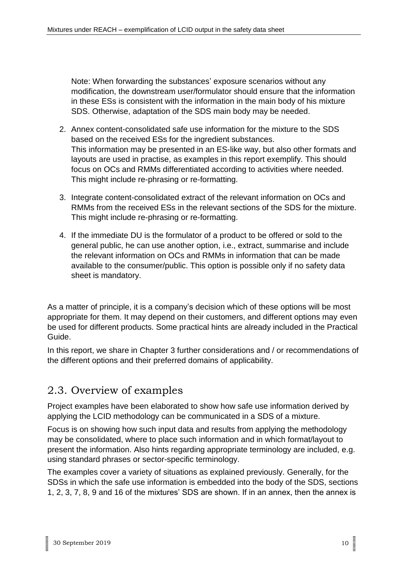Note: When forwarding the substances' exposure scenarios without any modification, the downstream user/formulator should ensure that the information in these ESs is consistent with the information in the main body of his mixture SDS. Otherwise, adaptation of the SDS main body may be needed.

- 2. Annex content-consolidated safe use information for the mixture to the SDS based on the received ESs for the ingredient substances. This information may be presented in an ES-like way, but also other formats and layouts are used in practise, as examples in this report exemplify. This should focus on OCs and RMMs differentiated according to activities where needed. This might include re-phrasing or re-formatting.
- 3. Integrate content-consolidated extract of the relevant information on OCs and RMMs from the received ESs in the relevant sections of the SDS for the mixture. This might include re-phrasing or re-formatting.
- 4. If the immediate DU is the formulator of a product to be offered or sold to the general public, he can use another option, i.e., extract, summarise and include the relevant information on OCs and RMMs in information that can be made available to the consumer/public. This option is possible only if no safety data sheet is mandatory.

As a matter of principle, it is a company's decision which of these options will be most appropriate for them. It may depend on their customers, and different options may even be used for different products. Some practical hints are already included in the Practical Guide.

In this report, we share in Chapter 3 further considerations and / or recommendations of the different options and their preferred domains of applicability.

### <span id="page-9-0"></span>2.3. Overview of examples

Project examples have been elaborated to show how safe use information derived by applying the LCID methodology can be communicated in a SDS of a mixture.

Focus is on showing how such input data and results from applying the methodology may be consolidated, where to place such information and in which format/layout to present the information. Also hints regarding appropriate terminology are included, e.g. using standard phrases or sector-specific terminology.

The examples cover a variety of situations as explained previously. Generally, for the SDSs in which the safe use information is embedded into the body of the SDS, sections 1, 2, 3, 7, 8, 9 and 16 of the mixtures' SDS are shown. If in an annex, then the annex is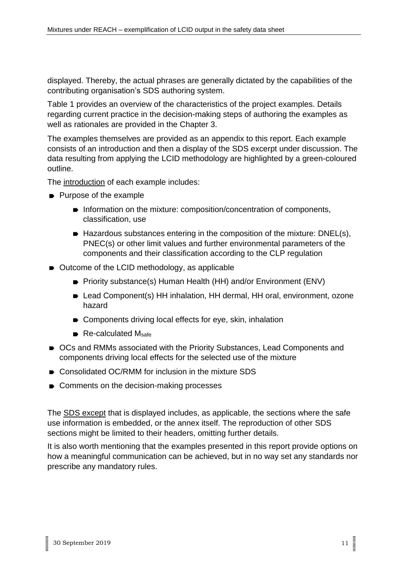displayed. Thereby, the actual phrases are generally dictated by the capabilities of the contributing organisation's SDS authoring system.

Table 1 provides an overview of the characteristics of the project examples. Details regarding current practice in the decision-making steps of authoring the examples as well as rationales are provided in the Chapter 3.

The examples themselves are provided as an appendix to this report. Each example consists of an introduction and then a display of the SDS excerpt under discussion. The data resulting from applying the LCID methodology are highlighted by a green-coloured outline.

The introduction of each example includes:

- Purpose of the example
	- **Information on the mixture: composition/concentration of components,** classification, use
	- Hazardous substances entering in the composition of the mixture: DNEL(s), PNEC(s) or other limit values and further environmental parameters of the components and their classification according to the CLP regulation
- Outcome of the LCID methodology, as applicable
	- Priority substance(s) Human Health (HH) and/or Environment (ENV)
	- Lead Component(s) HH inhalation, HH dermal, HH oral, environment, ozone hazard
	- Components driving local effects for eye, skin, inhalation
	- $\blacksquare$  Re-calculated Msafe
- OCs and RMMs associated with the Priority Substances, Lead Components and components driving local effects for the selected use of the mixture
- Consolidated OC/RMM for inclusion in the mixture SDS
- Comments on the decision-making processes

The SDS except that is displayed includes, as applicable, the sections where the safe use information is embedded, or the annex itself. The reproduction of other SDS sections might be limited to their headers, omitting further details.

It is also worth mentioning that the examples presented in this report provide options on how a meaningful communication can be achieved, but in no way set any standards nor prescribe any mandatory rules.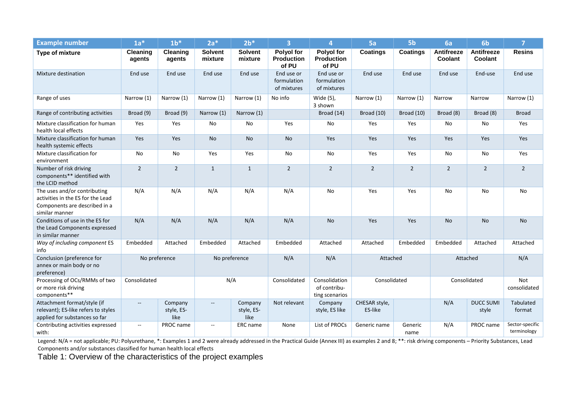| <b>Example number</b>                                                                                                | $1a*$                    | 1 <sup>h</sup>                | $2a*$                     | $2b*$                         | $\overline{\mathbf{3}}$                         | $\overline{4}$                                  | 5a                       | 5 <sub>b</sub>  | 6a                           | 6 <sub>b</sub>               | $\overline{7}$                 |
|----------------------------------------------------------------------------------------------------------------------|--------------------------|-------------------------------|---------------------------|-------------------------------|-------------------------------------------------|-------------------------------------------------|--------------------------|-----------------|------------------------------|------------------------------|--------------------------------|
| <b>Type of mixture</b>                                                                                               | Cleaning<br>agents       | Cleaning<br>agents            | <b>Solvent</b><br>mixture | <b>Solvent</b><br>mixture     | <b>Polyol for</b><br><b>Production</b><br>of PU | <b>Polyol for</b><br><b>Production</b><br>of PU | <b>Coatings</b>          | <b>Coatings</b> | <b>Antifreeze</b><br>Coolant | <b>Antifreeze</b><br>Coolant | <b>Resins</b>                  |
| Mixture destination                                                                                                  | End use                  | End use                       | End use                   | End use                       | End use or<br>formulation<br>of mixtures        | End use or<br>formulation<br>of mixtures        | End use                  | End use         | End use                      | End-use                      | End use                        |
| Range of uses                                                                                                        | Narrow (1)               | Narrow (1)                    | Narrow (1)                | Narrow (1)                    | No info                                         | Wide (5),<br>3 shown                            | Narrow (1)               | Narrow (1)      | Narrow                       | Narrow                       | Narrow (1)                     |
| Range of contributing activities                                                                                     | Broad (9)                | Broad (9)                     | Narrow (1)                | Narrow (1)                    |                                                 | Broad (14)                                      | Broad (10)               | Broad (10)      | Broad (8)                    | Broad (8)                    | <b>Broad</b>                   |
| Mixture classification for human<br>health local effects                                                             | Yes                      | Yes                           | No                        | No                            | Yes                                             | No                                              | Yes                      | Yes             | No                           | No                           | Yes                            |
| Mixture classification for human<br>health systemic effects                                                          | Yes                      | Yes                           | <b>No</b>                 | <b>No</b>                     | No                                              | Yes                                             | Yes                      | Yes             | Yes                          | Yes                          | Yes                            |
| Mixture classification for<br>environment                                                                            | No                       | No                            | Yes                       | Yes                           | No                                              | No                                              | Yes                      | Yes             | No                           | No                           | Yes                            |
| Number of risk driving<br>components** identified with<br>the LCID method                                            | $\overline{2}$           | $\overline{2}$                | $\mathbf{1}$              | $\mathbf{1}$                  | $\overline{2}$                                  | $\overline{2}$                                  | $\overline{2}$           | $\overline{2}$  | $\overline{2}$               | $\overline{2}$               | $\overline{2}$                 |
| The uses and/or contributing<br>activities in the ES for the Lead<br>Components are described in a<br>similar manner | N/A                      | N/A                           | N/A                       | N/A                           | N/A                                             | No                                              | Yes                      | Yes             | No                           | No                           | No                             |
| Conditions of use in the ES for<br>the Lead Components expressed<br>in similar manner                                | N/A                      | N/A                           | N/A                       | N/A                           | N/A                                             | <b>No</b>                                       | Yes                      | Yes             | <b>No</b>                    | <b>No</b>                    | <b>No</b>                      |
| Way of including component ES<br>info                                                                                | Embedded                 | Attached                      | Embedded                  | Attached                      | Embedded                                        | Attached                                        | Attached                 | Embedded        | Embedded                     | Attached                     | Attached                       |
| Conclusion (preference for<br>annex or main body or no<br>preference)                                                | No preference            |                               | No preference             |                               | N/A                                             | N/A                                             | Attached                 |                 | Attached                     |                              | N/A                            |
| Processing of OCs/RMMs of two<br>or more risk driving<br>components**                                                | Consolidated             |                               | N/A                       |                               | Consolidated                                    | Consolidation<br>of contribu-<br>ting scenarios | Consolidated             |                 | Consolidated                 |                              | <b>Not</b><br>consolidated     |
| Attachment format/style (if<br>relevant); ES-like refers to styles<br>applied for substances so far                  | $\overline{\phantom{a}}$ | Company<br>style, ES-<br>like | $\overline{\phantom{a}}$  | Company<br>style, ES-<br>like | Not relevant                                    | Company<br>style, ES like                       | CHESAR style,<br>ES-like |                 | N/A                          | <b>DUCC SUMI</b><br>style    | Tabulated<br>format            |
| Contributing activities expressed<br>with:                                                                           | $\overline{\phantom{a}}$ | PROC name                     | $\overline{\phantom{a}}$  | ERC name                      | None                                            | List of PROCs                                   | Generic name             | Generic<br>name | N/A                          | PROC name                    | Sector-specific<br>terminology |

Legend: N/A = not applicable; PU: Polyurethane, \*: Examples 1 and 2 were already addressed in the Practical Guide (Annex III) as examples 2 and 8; \*\*: risk driving components – Priority Substances, Lead Components and/or substances classified for human health local effects

Table 1: Overview of the characteristics of the project examples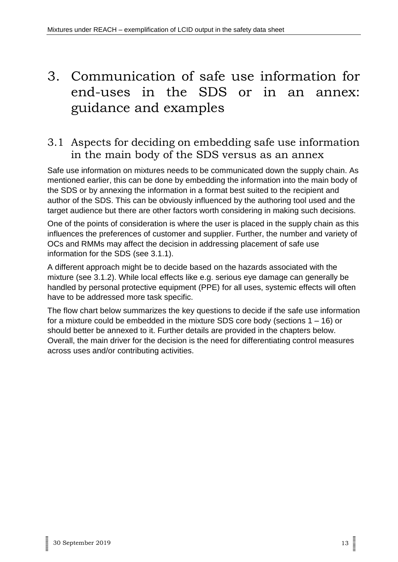## <span id="page-12-0"></span>3. Communication of safe use information for end-uses in the SDS or in an annex: guidance and examples

### <span id="page-12-1"></span>3.1 Aspects for deciding on embedding safe use information in the main body of the SDS versus as an annex

Safe use information on mixtures needs to be communicated down the supply chain. As mentioned earlier, this can be done by embedding the information into the main body of the SDS or by annexing the information in a format best suited to the recipient and author of the SDS. This can be obviously influenced by the authoring tool used and the target audience but there are other factors worth considering in making such decisions.

One of the points of consideration is where the user is placed in the supply chain as this influences the preferences of customer and supplier. Further, the number and variety of OCs and RMMs may affect the decision in addressing placement of safe use information for the SDS (see 3.1.1).

A different approach might be to decide based on the hazards associated with the mixture (see 3.1.2). While local effects like e.g. serious eye damage can generally be handled by personal protective equipment (PPE) for all uses, systemic effects will often have to be addressed more task specific.

The flow chart below summarizes the key questions to decide if the safe use information for a mixture could be embedded in the mixture SDS core body (sections 1 – 16) or should better be annexed to it. Further details are provided in the chapters below. Overall, the main driver for the decision is the need for differentiating control measures across uses and/or contributing activities.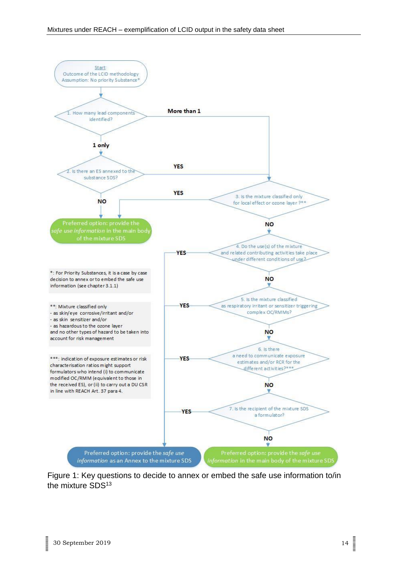

Figure 1: Key questions to decide to annex or embed the safe use information to/in the mixture SDS<sup>13</sup>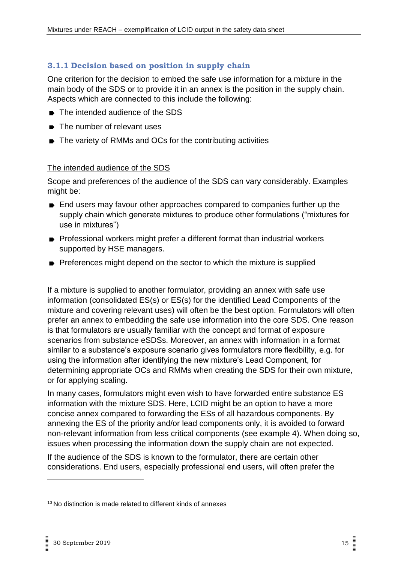#### <span id="page-14-0"></span>**3.1.1 Decision based on position in supply chain**

One criterion for the decision to embed the safe use information for a mixture in the main body of the SDS or to provide it in an annex is the position in the supply chain. Aspects which are connected to this include the following:

- The intended audience of the SDS
- **■** The number of relevant uses
- The variety of RMMs and OCs for the contributing activities

#### The intended audience of the SDS

Scope and preferences of the audience of the SDS can vary considerably. Examples might be:

- End users may favour other approaches compared to companies further up the supply chain which generate mixtures to produce other formulations ("mixtures for use in mixtures")
- Professional workers might prefer a different format than industrial workers supported by HSE managers.
- Preferences might depend on the sector to which the mixture is supplied

If a mixture is supplied to another formulator, providing an annex with safe use information (consolidated ES(s) or ES(s) for the identified Lead Components of the mixture and covering relevant uses) will often be the best option. Formulators will often prefer an annex to embedding the safe use information into the core SDS. One reason is that formulators are usually familiar with the concept and format of exposure scenarios from substance eSDSs. Moreover, an annex with information in a format similar to a substance's exposure scenario gives formulators more flexibility, e.g. for using the information after identifying the new mixture's Lead Component, for determining appropriate OCs and RMMs when creating the SDS for their own mixture, or for applying scaling.

In many cases, formulators might even wish to have forwarded entire substance ES information with the mixture SDS. Here, LCID might be an option to have a more concise annex compared to forwarding the ESs of all hazardous components. By annexing the ES of the priority and/or lead components only, it is avoided to forward non-relevant information from less critical components (see example 4). When doing so, issues when processing the information down the supply chain are not expected.

If the audience of the SDS is known to the formulator, there are certain other considerations. End users, especially professional end users, will often prefer the

<sup>&</sup>lt;sup>13</sup> No distinction is made related to different kinds of annexes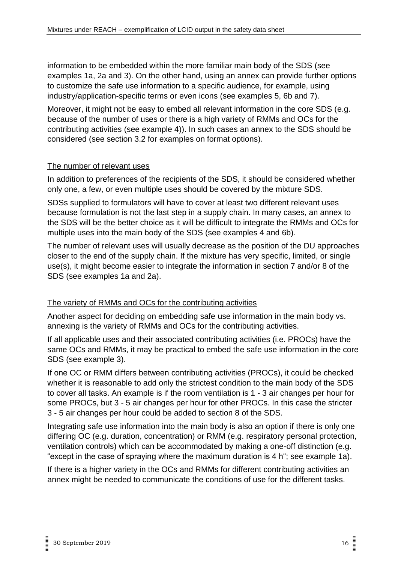information to be embedded within the more familiar main body of the SDS (see examples 1a, 2a and 3). On the other hand, using an annex can provide further options to customize the safe use information to a specific audience, for example, using industry/application-specific terms or even icons (see examples 5, 6b and 7).

Moreover, it might not be easy to embed all relevant information in the core SDS (e.g. because of the number of uses or there is a high variety of RMMs and OCs for the contributing activities (see example 4)). In such cases an annex to the SDS should be considered (see section 3.2 for examples on format options).

#### The number of relevant uses

In addition to preferences of the recipients of the SDS, it should be considered whether only one, a few, or even multiple uses should be covered by the mixture SDS.

SDSs supplied to formulators will have to cover at least two different relevant uses because formulation is not the last step in a supply chain. In many cases, an annex to the SDS will be the better choice as it will be difficult to integrate the RMMs and OCs for multiple uses into the main body of the SDS (see examples 4 and 6b).

The number of relevant uses will usually decrease as the position of the DU approaches closer to the end of the supply chain. If the mixture has very specific, limited, or single use(s), it might become easier to integrate the information in section 7 and/or 8 of the SDS (see examples 1a and 2a).

#### The variety of RMMs and OCs for the contributing activities

Another aspect for deciding on embedding safe use information in the main body vs. annexing is the variety of RMMs and OCs for the contributing activities.

If all applicable uses and their associated contributing activities (i.e. PROCs) have the same OCs and RMMs, it may be practical to embed the safe use information in the core SDS (see example 3).

If one OC or RMM differs between contributing activities (PROCs), it could be checked whether it is reasonable to add only the strictest condition to the main body of the SDS to cover all tasks. An example is if the room ventilation is 1 - 3 air changes per hour for some PROCs, but 3 - 5 air changes per hour for other PROCs. In this case the stricter 3 - 5 air changes per hour could be added to section 8 of the SDS.

Integrating safe use information into the main body is also an option if there is only one differing OC (e.g. duration, concentration) or RMM (e.g. respiratory personal protection, ventilation controls) which can be accommodated by making a one-off distinction (e.g. "except in the case of spraying where the maximum duration is 4 h"; see example 1a).

If there is a higher variety in the OCs and RMMs for different contributing activities an annex might be needed to communicate the conditions of use for the different tasks.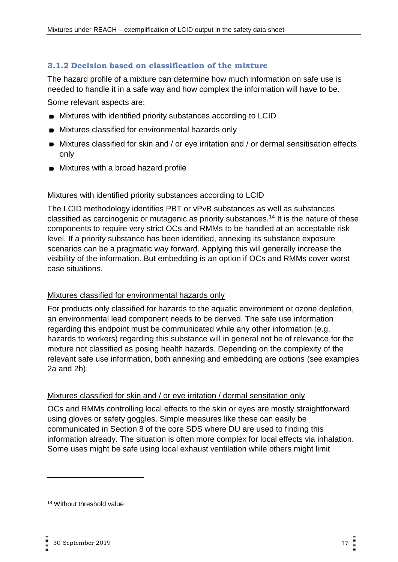#### <span id="page-16-0"></span>**3.1.2 Decision based on classification of the mixture**

The hazard profile of a mixture can determine how much information on safe use is needed to handle it in a safe way and how complex the information will have to be.

Some relevant aspects are:

- Mixtures with identified priority substances according to LCID
- Mixtures classified for environmental hazards only
- Mixtures classified for skin and / or eye irritation and / or dermal sensitisation effects only
- **Mixtures with a broad hazard profile**

#### Mixtures with identified priority substances according to LCID

The LCID methodology identifies PBT or vPvB substances as well as substances classified as carcinogenic or mutagenic as priority substances.<sup>14</sup> It is the nature of these components to require very strict OCs and RMMs to be handled at an acceptable risk level. If a priority substance has been identified, annexing its substance exposure scenarios can be a pragmatic way forward. Applying this will generally increase the visibility of the information. But embedding is an option if OCs and RMMs cover worst case situations.

#### Mixtures classified for environmental hazards only

For products only classified for hazards to the aquatic environment or ozone depletion, an environmental lead component needs to be derived. The safe use information regarding this endpoint must be communicated while any other information (e.g. hazards to workers) regarding this substance will in general not be of relevance for the mixture not classified as posing health hazards. Depending on the complexity of the relevant safe use information, both annexing and embedding are options (see examples 2a and 2b).

#### Mixtures classified for skin and / or eye irritation / dermal sensitation only

OCs and RMMs controlling local effects to the skin or eyes are mostly straightforward using gloves or safety goggles. Simple measures like these can easily be communicated in Section 8 of the core SDS where DU are used to finding this information already. The situation is often more complex for local effects via inhalation. Some uses might be safe using local exhaust ventilation while others might limit

<sup>14</sup> Without threshold value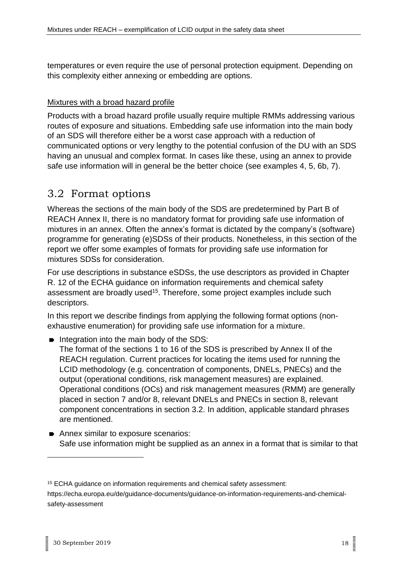temperatures or even require the use of personal protection equipment. Depending on this complexity either annexing or embedding are options.

#### Mixtures with a broad hazard profile

Products with a broad hazard profile usually require multiple RMMs addressing various routes of exposure and situations. Embedding safe use information into the main body of an SDS will therefore either be a worst case approach with a reduction of communicated options or very lengthy to the potential confusion of the DU with an SDS having an unusual and complex format. In cases like these, using an annex to provide safe use information will in general be the better choice (see examples 4, 5, 6b, 7).

### <span id="page-17-0"></span>3.2 Format options

Whereas the sections of the main body of the SDS are predetermined by Part B of REACH Annex II, there is no mandatory format for providing safe use information of mixtures in an annex. Often the annex's format is dictated by the company's (software) programme for generating (e)SDSs of their products. Nonetheless, in this section of the report we offer some examples of formats for providing safe use information for mixtures SDSs for consideration.

For use descriptions in substance eSDSs, the use descriptors as provided in Chapter R. 12 of the ECHA guidance on information requirements and chemical safety assessment are broadly used<sup>15</sup>. Therefore, some project examples include such descriptors.

In this report we describe findings from applying the following format options (nonexhaustive enumeration) for providing safe use information for a mixture.

 $\blacksquare$  Integration into the main body of the SDS:

The format of the sections 1 to 16 of the SDS is prescribed by Annex II of the REACH regulation. Current practices for locating the items used for running the LCID methodology (e.g. concentration of components, DNELs, PNECs) and the output (operational conditions, risk management measures) are explained. Operational conditions (OCs) and risk management measures (RMM) are generally placed in section 7 and/or 8, relevant DNELs and PNECs in section 8, relevant component concentrations in section 3.2. In addition, applicable standard phrases are mentioned.

Annex similar to exposure scenarios: Safe use information might be supplied as an annex in a format that is similar to that

<sup>15</sup> ECHA guidance on information requirements and chemical safety assessment: https://echa.europa.eu/de/guidance-documents/guidance-on-information-requirements-and-chemicalsafety-assessment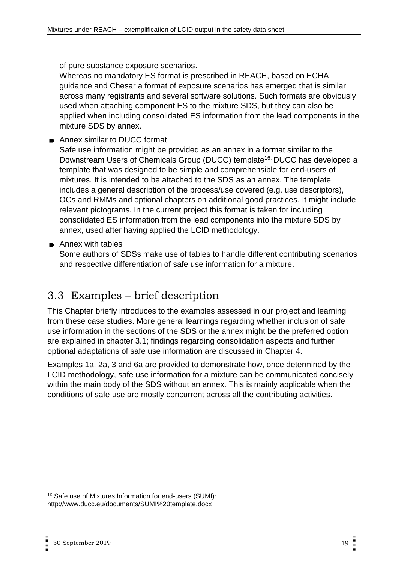of pure substance exposure scenarios.

Whereas no mandatory ES format is prescribed in REACH, based on ECHA guidance and Chesar a format of exposure scenarios has emerged that is similar across many registrants and several software solutions. Such formats are obviously used when attaching component ES to the mixture SDS, but they can also be applied when including consolidated ES information from the lead components in the mixture SDS by annex.

**■** Annex similar to DUCC format

Safe use information might be provided as an annex in a format similar to the Downstream Users of Chemicals Group (DUCC) template<sup>16:</sup> DUCC has developed a template that was designed to be simple and comprehensible for end-users of mixtures. It is intended to be attached to the SDS as an annex. The template includes a general description of the process/use covered (e.g. use descriptors), OCs and RMMs and optional chapters on additional good practices. It might include relevant pictograms. In the current project this format is taken for including consolidated ES information from the lead components into the mixture SDS by annex, used after having applied the LCID methodology.

**► Annex with tables** 

Some authors of SDSs make use of tables to handle different contributing scenarios and respective differentiation of safe use information for a mixture.

### <span id="page-18-0"></span>3.3 Examples – brief description

This Chapter briefly introduces to the examples assessed in our project and learning from these case studies. More general learnings regarding whether inclusion of safe use information in the sections of the SDS or the annex might be the preferred option are explained in chapter 3.1; findings regarding consolidation aspects and further optional adaptations of safe use information are discussed in Chapter 4.

Examples 1a, 2a, 3 and 6a are provided to demonstrate how, once determined by the LCID methodology, safe use information for a mixture can be communicated concisely within the main body of the SDS without an annex. This is mainly applicable when the conditions of safe use are mostly concurrent across all the contributing activities.

<sup>16</sup> Safe use of Mixtures Information for end-users (SUMI): http://www.ducc.eu/documents/SUMI%20template.docx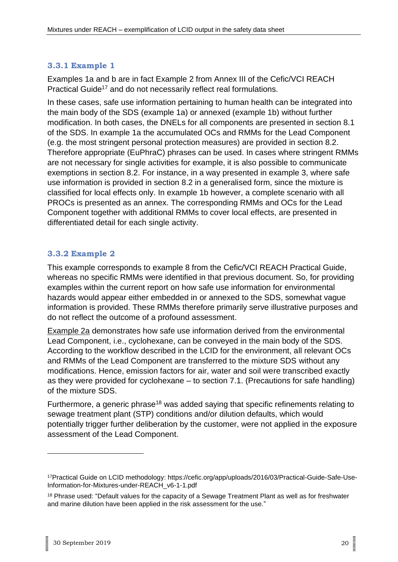#### <span id="page-19-0"></span>**3.3.1 Example 1**

Examples 1a and b are in fact Example 2 from Annex III of the Cefic/VCI REACH Practical Guide<sup>17</sup> and do not necessarily reflect real formulations.

In these cases, safe use information pertaining to human health can be integrated into the main body of the SDS (example 1a) or annexed (example 1b) without further modification. In both cases, the DNELs for all components are presented in section 8.1 of the SDS. In example 1a the accumulated OCs and RMMs for the Lead Component (e.g. the most stringent personal protection measures) are provided in section 8.2. Therefore appropriate (EuPhraC) phrases can be used. In cases where stringent RMMs are not necessary for single activities for example, it is also possible to communicate exemptions in section 8.2. For instance, in a way presented in example 3, where safe use information is provided in section 8.2 in a generalised form, since the mixture is classified for local effects only. In example 1b however, a complete scenario with all PROCs is presented as an annex. The corresponding RMMs and OCs for the Lead Component together with additional RMMs to cover local effects, are presented in differentiated detail for each single activity.

#### <span id="page-19-1"></span>**3.3.2 Example 2**

This example corresponds to example 8 from the Cefic/VCI REACH Practical Guide, whereas no specific RMMs were identified in that previous document. So, for providing examples within the current report on how safe use information for environmental hazards would appear either embedded in or annexed to the SDS, somewhat vague information is provided. These RMMs therefore primarily serve illustrative purposes and do not reflect the outcome of a profound assessment.

Example 2a demonstrates how safe use information derived from the environmental Lead Component, i.e., cyclohexane, can be conveyed in the main body of the SDS. According to the workflow described in the LCID for the environment, all relevant OCs and RMMs of the Lead Component are transferred to the mixture SDS without any modifications. Hence, emission factors for air, water and soil were transcribed exactly as they were provided for cyclohexane – to section 7.1. (Precautions for safe handling) of the mixture SDS.

Furthermore, a generic phrase<sup>18</sup> was added saying that specific refinements relating to sewage treatment plant (STP) conditions and/or dilution defaults, which would potentially trigger further deliberation by the customer, were not applied in the exposure assessment of the Lead Component.

<sup>17</sup>Practical Guide on LCID methodology: [https://cefic.org/app/uploads/2016/03/Practical-Guide-Safe-Use-](https://cefic.org/app/uploads/2016/03/Practical-Guide-Safe-Use-Information-for-Mixtures-under-REACH_v6-1-1.pdf)[Information-for-Mixtures-under-REACH\\_v6-1-1.pdf](https://cefic.org/app/uploads/2016/03/Practical-Guide-Safe-Use-Information-for-Mixtures-under-REACH_v6-1-1.pdf)

<sup>&</sup>lt;sup>18</sup> Phrase used: "Default values for the capacity of a Sewage Treatment Plant as well as for freshwater and marine dilution have been applied in the risk assessment for the use."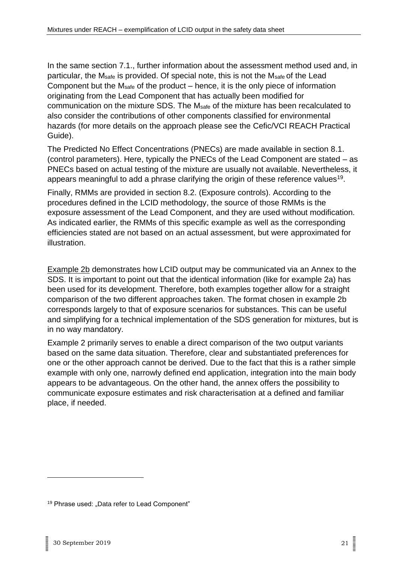In the same section 7.1., further information about the assessment method used and, in particular, the Msafe is provided. Of special note, this is not the Msafe of the Lead Component but the Msafe of the product – hence, it is the only piece of information originating from the Lead Component that has actually been modified for communication on the mixture SDS. The Msafe of the mixture has been recalculated to also consider the contributions of other components classified for environmental hazards (for more details on the approach please see the Cefic/VCI REACH Practical Guide).

The Predicted No Effect Concentrations (PNECs) are made available in section 8.1. (control parameters). Here, typically the PNECs of the Lead Component are stated – as PNECs based on actual testing of the mixture are usually not available. Nevertheless, it appears meaningful to add a phrase clarifying the origin of these reference values<sup>19</sup>.

Finally, RMMs are provided in section 8.2. (Exposure controls). According to the procedures defined in the LCID methodology, the source of those RMMs is the exposure assessment of the Lead Component, and they are used without modification. As indicated earlier, the RMMs of this specific example as well as the corresponding efficiencies stated are not based on an actual assessment, but were approximated for illustration.

Example 2b demonstrates how LCID output may be communicated via an Annex to the SDS. It is important to point out that the identical information (like for example 2a) has been used for its development. Therefore, both examples together allow for a straight comparison of the two different approaches taken. The format chosen in example 2b corresponds largely to that of exposure scenarios for substances. This can be useful and simplifying for a technical implementation of the SDS generation for mixtures, but is in no way mandatory.

Example 2 primarily serves to enable a direct comparison of the two output variants based on the same data situation. Therefore, clear and substantiated preferences for one or the other approach cannot be derived. Due to the fact that this is a rather simple example with only one, narrowly defined end application, integration into the main body appears to be advantageous. On the other hand, the annex offers the possibility to communicate exposure estimates and risk characterisation at a defined and familiar place, if needed.

<sup>&</sup>lt;sup>19</sup> Phrase used: "Data refer to Lead Component"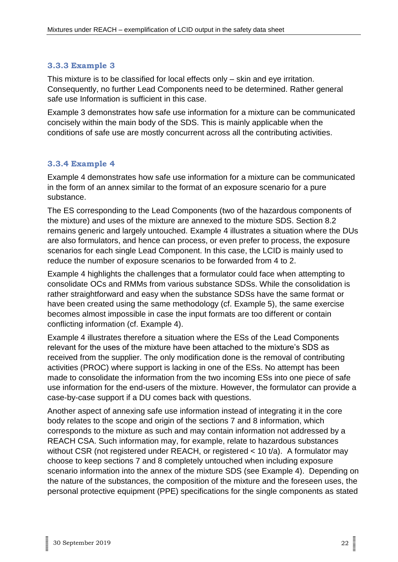#### <span id="page-21-0"></span>**3.3.3 Example 3**

This mixture is to be classified for local effects only – skin and eye irritation. Consequently, no further Lead Components need to be determined. Rather general safe use Information is sufficient in this case.

Example 3 demonstrates how safe use information for a mixture can be communicated concisely within the main body of the SDS. This is mainly applicable when the conditions of safe use are mostly concurrent across all the contributing activities.

#### <span id="page-21-1"></span>**3.3.4 Example 4**

Example 4 demonstrates how safe use information for a mixture can be communicated in the form of an annex similar to the format of an exposure scenario for a pure substance.

The ES corresponding to the Lead Components (two of the hazardous components of the mixture) and uses of the mixture are annexed to the mixture SDS. Section 8.2 remains generic and largely untouched. Example 4 illustrates a situation where the DUs are also formulators, and hence can process, or even prefer to process, the exposure scenarios for each single Lead Component. In this case, the LCID is mainly used to reduce the number of exposure scenarios to be forwarded from 4 to 2.

Example 4 highlights the challenges that a formulator could face when attempting to consolidate OCs and RMMs from various substance SDSs. While the consolidation is rather straightforward and easy when the substance SDSs have the same format or have been created using the same methodology (cf. Example 5), the same exercise becomes almost impossible in case the input formats are too different or contain conflicting information (cf. Example 4).

Example 4 illustrates therefore a situation where the ESs of the Lead Components relevant for the uses of the mixture have been attached to the mixture's SDS as received from the supplier. The only modification done is the removal of contributing activities (PROC) where support is lacking in one of the ESs. No attempt has been made to consolidate the information from the two incoming ESs into one piece of safe use information for the end-users of the mixture. However, the formulator can provide a case-by-case support if a DU comes back with questions.

Another aspect of annexing safe use information instead of integrating it in the core body relates to the scope and origin of the sections 7 and 8 information, which corresponds to the mixture as such and may contain information not addressed by a REACH CSA. Such information may, for example, relate to hazardous substances without CSR (not registered under REACH, or registered < 10 t/a). A formulator may choose to keep sections 7 and 8 completely untouched when including exposure scenario information into the annex of the mixture SDS (see Example 4). Depending on the nature of the substances, the composition of the mixture and the foreseen uses, the personal protective equipment (PPE) specifications for the single components as stated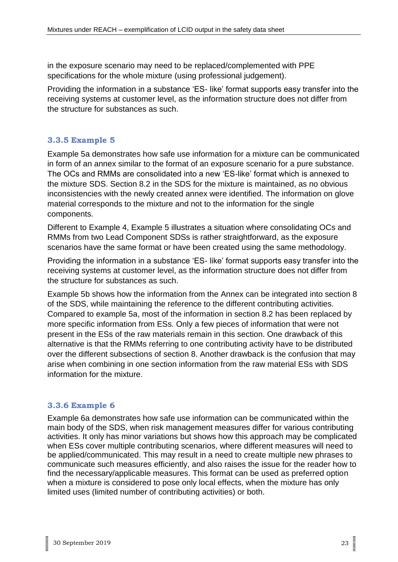in the exposure scenario may need to be replaced/complemented with PPE specifications for the whole mixture (using professional judgement).

Providing the information in a substance 'ES- like' format supports easy transfer into the receiving systems at customer level, as the information structure does not differ from the structure for substances as such.

#### <span id="page-22-0"></span>**3.3.5 Example 5**

Example 5a demonstrates how safe use information for a mixture can be communicated in form of an annex similar to the format of an exposure scenario for a pure substance. The OCs and RMMs are consolidated into a new 'ES-like' format which is annexed to the mixture SDS. Section 8.2 in the SDS for the mixture is maintained, as no obvious inconsistencies with the newly created annex were identified. The information on glove material corresponds to the mixture and not to the information for the single components.

Different to Example 4, Example 5 illustrates a situation where consolidating OCs and RMMs from two Lead Component SDSs is rather straightforward, as the exposure scenarios have the same format or have been created using the same methodology.

Providing the information in a substance 'ES- like' format supports easy transfer into the receiving systems at customer level, as the information structure does not differ from the structure for substances as such.

Example 5b shows how the information from the Annex can be integrated into section 8 of the SDS, while maintaining the reference to the different contributing activities. Compared to example 5a, most of the information in section 8.2 has been replaced by more specific information from ESs. Only a few pieces of information that were not present in the ESs of the raw materials remain in this section. One drawback of this alternative is that the RMMs referring to one contributing activity have to be distributed over the different subsections of section 8. Another drawback is the confusion that may arise when combining in one section information from the raw material ESs with SDS information for the mixture.

#### <span id="page-22-1"></span>**3.3.6 Example 6**

Example 6a demonstrates how safe use information can be communicated within the main body of the SDS, when risk management measures differ for various contributing activities. It only has minor variations but shows how this approach may be complicated when ESs cover multiple contributing scenarios, where different measures will need to be applied/communicated. This may result in a need to create multiple new phrases to communicate such measures efficiently, and also raises the issue for the reader how to find the necessary/applicable measures. This format can be used as preferred option when a mixture is considered to pose only local effects, when the mixture has only limited uses (limited number of contributing activities) or both.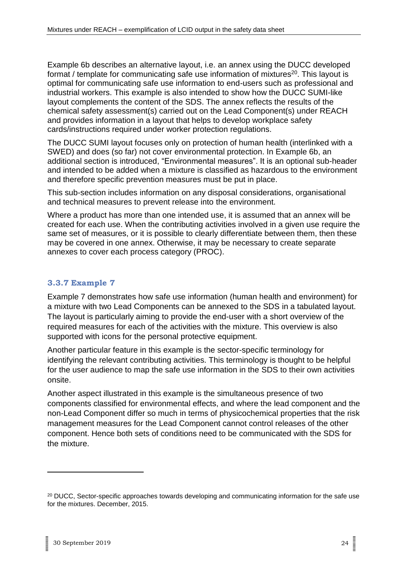Example 6b describes an alternative layout, i.e. an annex using the DUCC developed format / template for communicating safe use information of mixtures $20$ . This layout is optimal for communicating safe use information to end-users such as professional and industrial workers. This example is also intended to show how the DUCC SUMI-like layout complements the content of the SDS. The annex reflects the results of the chemical safety assessment(s) carried out on the Lead Component(s) under REACH and provides information in a layout that helps to develop workplace safety cards/instructions required under worker protection regulations.

The DUCC SUMI layout focuses only on protection of human health (interlinked with a SWED) and does (so far) not cover environmental protection. In Example 6b, an additional section is introduced, "Environmental measures". It is an optional sub-header and intended to be added when a mixture is classified as hazardous to the environment and therefore specific prevention measures must be put in place.

This sub-section includes information on any disposal considerations, organisational and technical measures to prevent release into the environment.

Where a product has more than one intended use, it is assumed that an annex will be created for each use. When the contributing activities involved in a given use require the same set of measures, or it is possible to clearly differentiate between them, then these may be covered in one annex. Otherwise, it may be necessary to create separate annexes to cover each process category (PROC).

#### <span id="page-23-0"></span>**3.3.7 Example 7**

Example 7 demonstrates how safe use information (human health and environment) for a mixture with two Lead Components can be annexed to the SDS in a tabulated layout. The layout is particularly aiming to provide the end-user with a short overview of the required measures for each of the activities with the mixture. This overview is also supported with icons for the personal protective equipment.

Another particular feature in this example is the sector-specific terminology for identifying the relevant contributing activities. This terminology is thought to be helpful for the user audience to map the safe use information in the SDS to their own activities onsite.

Another aspect illustrated in this example is the simultaneous presence of two components classified for environmental effects, and where the lead component and the non-Lead Component differ so much in terms of physicochemical properties that the risk management measures for the Lead Component cannot control releases of the other component. Hence both sets of conditions need to be communicated with the SDS for the mixture.

<sup>&</sup>lt;sup>20</sup> DUCC, Sector-specific approaches towards developing and communicating information for the safe use [for the mixtures. December, 2015.](http://www.ducc.eu/documents/Sector%20specific%20approaches%20towards%20developing%20and%20communicating%20information%20for%20the%20safe%20use%20of%20mixtures%20FINAL.pdf)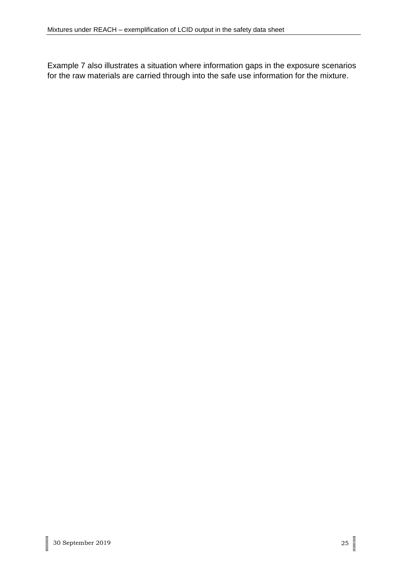Example 7 also illustrates a situation where information gaps in the exposure scenarios for the raw materials are carried through into the safe use information for the mixture.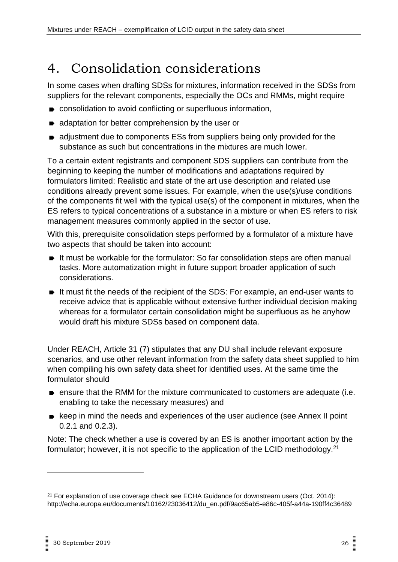# <span id="page-25-0"></span>4. Consolidation considerations

In some cases when drafting SDSs for mixtures, information received in the SDSs from suppliers for the relevant components, especially the OCs and RMMs, might require

- consolidation to avoid conflicting or superfluous information,
- adaptation for better comprehension by the user or
- adjustment due to components ESs from suppliers being only provided for the substance as such but concentrations in the mixtures are much lower.

To a certain extent registrants and component SDS suppliers can contribute from the beginning to keeping the number of modifications and adaptations required by formulators limited: Realistic and state of the art use description and related use conditions already prevent some issues. For example, when the use(s)/use conditions of the components fit well with the typical use(s) of the component in mixtures, when the ES refers to typical concentrations of a substance in a mixture or when ES refers to risk management measures commonly applied in the sector of use.

With this, prerequisite consolidation steps performed by a formulator of a mixture have two aspects that should be taken into account:

- It must be workable for the formulator: So far consolidation steps are often manual tasks. More automatization might in future support broader application of such considerations.
- It must fit the needs of the recipient of the SDS: For example, an end-user wants to receive advice that is applicable without extensive further individual decision making whereas for a formulator certain consolidation might be superfluous as he anyhow would draft his mixture SDSs based on component data.

Under REACH, Article 31 (7) stipulates that any DU shall include relevant exposure scenarios, and use other relevant information from the safety data sheet supplied to him when compiling his own safety data sheet for identified uses. At the same time the formulator should

- **EX ENSURE SHE RMM** for the mixture communicated to customers are adequate (i.e. enabling to take the necessary measures) and
- keep in mind the needs and experiences of the user audience (see Annex II point 0.2.1 and 0.2.3).

Note: The check whether a use is covered by an ES is another important action by the formulator; however, it is not specific to the application of the LCID methodology.<sup>21</sup>

 $21$  For explanation of use coverage check see ECHA Guidance for downstream users (Oct. 2014): http://echa.europa.eu/documents/10162/23036412/du\_en.pdf/9ac65ab5-e86c-405f-a44a-190ff4c36489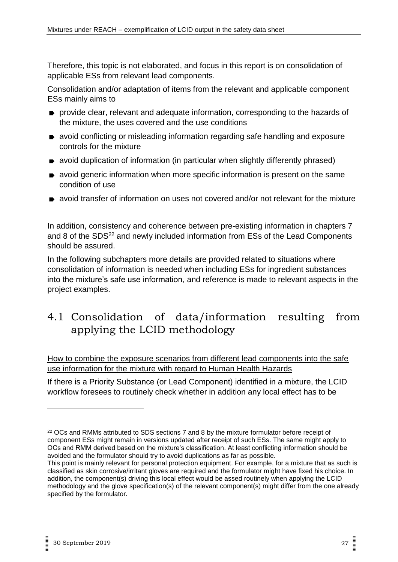Therefore, this topic is not elaborated, and focus in this report is on consolidation of applicable ESs from relevant lead components.

Consolidation and/or adaptation of items from the relevant and applicable component ESs mainly aims to

- **P** provide clear, relevant and adequate information, corresponding to the hazards of the mixture, the uses covered and the use conditions
- avoid conflicting or misleading information regarding safe handling and exposure controls for the mixture
- avoid duplication of information (in particular when slightly differently phrased)
- avoid generic information when more specific information is present on the same condition of use
- avoid transfer of information on uses not covered and/or not relevant for the mixture

In addition, consistency and coherence between pre-existing information in chapters 7 and 8 of the SDS<sup>22</sup> and newly included information from ESs of the Lead Components should be assured.

In the following subchapters more details are provided related to situations where consolidation of information is needed when including ESs for ingredient substances into the mixture's safe use information, and reference is made to relevant aspects in the project examples.

### <span id="page-26-0"></span>4.1 Consolidation of data/information resulting from applying the LCID methodology

How to combine the exposure scenarios from different lead components into the safe use information for the mixture with regard to Human Health Hazards

If there is a Priority Substance (or Lead Component) identified in a mixture, the LCID workflow foresees to routinely check whether in addition any local effect has to be

<sup>&</sup>lt;sup>22</sup> OCs and RMMs attributed to SDS sections 7 and 8 by the mixture formulator before receipt of component ESs might remain in versions updated after receipt of such ESs. The same might apply to OCs and RMM derived based on the mixture's classification. At least conflicting information should be avoided and the formulator should try to avoid duplications as far as possible.

This point is mainly relevant for personal protection equipment. For example, for a mixture that as such is classified as skin corrosive/irritant gloves are required and the formulator might have fixed his choice. In addition, the component(s) driving this local effect would be assed routinely when applying the LCID methodology and the glove specification(s) of the relevant component(s) might differ from the one already specified by the formulator.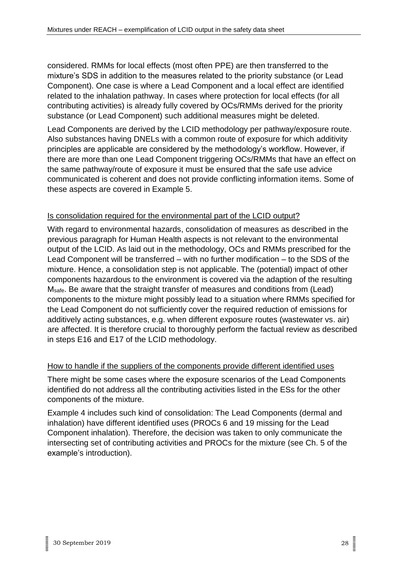considered. RMMs for local effects (most often PPE) are then transferred to the mixture's SDS in addition to the measures related to the priority substance (or Lead Component). One case is where a Lead Component and a local effect are identified related to the inhalation pathway. In cases where protection for local effects (for all contributing activities) is already fully covered by OCs/RMMs derived for the priority substance (or Lead Component) such additional measures might be deleted.

Lead Components are derived by the LCID methodology per pathway/exposure route. Also substances having DNELs with a common route of exposure for which additivity principles are applicable are considered by the methodology's workflow. However, if there are more than one Lead Component triggering OCs/RMMs that have an effect on the same pathway/route of exposure it must be ensured that the safe use advice communicated is coherent and does not provide conflicting information items. Some of these aspects are covered in Example 5.

#### Is consolidation required for the environmental part of the LCID output?

With regard to environmental hazards, consolidation of measures as described in the previous paragraph for Human Health aspects is not relevant to the environmental output of the LCID. As laid out in the methodology, OCs and RMMs prescribed for the Lead Component will be transferred – with no further modification – to the SDS of the mixture. Hence, a consolidation step is not applicable. The (potential) impact of other components hazardous to the environment is covered via the adaption of the resulting Msafe. Be aware that the straight transfer of measures and conditions from (Lead) components to the mixture might possibly lead to a situation where RMMs specified for the Lead Component do not sufficiently cover the required reduction of emissions for additively acting substances, e.g. when different exposure routes (wastewater vs. air) are affected. It is therefore crucial to thoroughly perform the factual review as described in steps E16 and E17 of the LCID methodology.

#### How to handle if the suppliers of the components provide different identified uses

There might be some cases where the exposure scenarios of the Lead Components identified do not address all the contributing activities listed in the ESs for the other components of the mixture.

Example 4 includes such kind of consolidation: The Lead Components (dermal and inhalation) have different identified uses (PROCs 6 and 19 missing for the Lead Component inhalation). Therefore, the decision was taken to only communicate the intersecting set of contributing activities and PROCs for the mixture (see Ch. 5 of the example's introduction).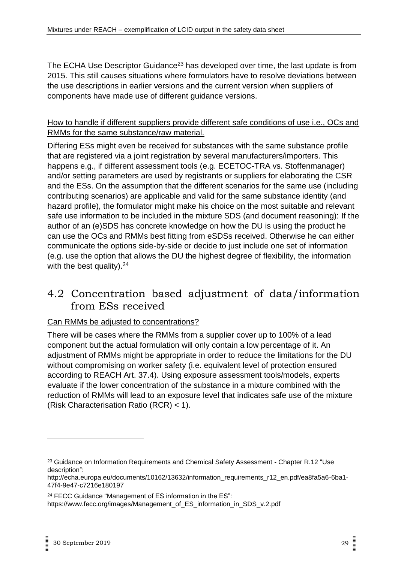The ECHA Use Descriptor Guidance<sup>23</sup> has developed over time, the last update is from 2015. This still causes situations where formulators have to resolve deviations between the use descriptions in earlier versions and the current version when suppliers of components have made use of different guidance versions.

#### How to handle if different suppliers provide different safe conditions of use i.e., OCs and RMMs for the same substance/raw material.

Differing ESs might even be received for substances with the same substance profile that are registered via a joint registration by several manufacturers/importers. This happens e.g., if different assessment tools (e.g. ECETOC-TRA vs. Stoffenmanager) and/or setting parameters are used by registrants or suppliers for elaborating the CSR and the ESs. On the assumption that the different scenarios for the same use (including contributing scenarios) are applicable and valid for the same substance identity (and hazard profile), the formulator might make his choice on the most suitable and relevant safe use information to be included in the mixture SDS (and document reasoning): If the author of an (e)SDS has concrete knowledge on how the DU is using the product he can use the OCs and RMMs best fitting from eSDSs received. Otherwise he can either communicate the options side-by-side or decide to just include one set of information (e.g. use the option that allows the DU the highest degree of flexibility, the information with the best quality).<sup>24</sup>

### <span id="page-28-0"></span>4.2 Concentration based adjustment of data/information from ESs received

#### Can RMMs be adjusted to concentrations?

There will be cases where the RMMs from a supplier cover up to 100% of a lead component but the actual formulation will only contain a low percentage of it. An adjustment of RMMs might be appropriate in order to reduce the limitations for the DU without compromising on worker safety (i.e. equivalent level of protection ensured according to REACH Art. 37.4). Using exposure assessment tools/models, experts evaluate if the lower concentration of the substance in a mixture combined with the reduction of RMMs will lead to an exposure level that indicates safe use of the mixture (Risk Characterisation Ratio (RCR) < 1).

<sup>24</sup> FECC Guidance "Management of ES information in the ES": https://www.fecc.org/images/Management\_of\_ES\_information\_in\_SDS\_v.2.pdf

<sup>&</sup>lt;sup>23</sup> Guidance on Information Requirements and Chemical Safety Assessment - Chapter R.12 "Use description":

http://echa.europa.eu/documents/10162/13632/information\_requirements\_r12\_en.pdf/ea8fa5a6-6ba1- 47f4-9e47-c7216e180197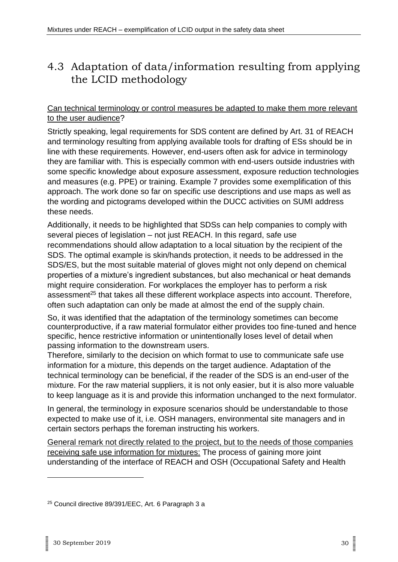### <span id="page-29-0"></span>4.3 Adaptation of data/information resulting from applying the LCID methodology

#### Can technical terminology or control measures be adapted to make them more relevant to the user audience?

Strictly speaking, legal requirements for SDS content are defined by Art. 31 of REACH and terminology resulting from applying available tools for drafting of ESs should be in line with these requirements. However, end-users often ask for advice in terminology they are familiar with. This is especially common with end-users outside industries with some specific knowledge about exposure assessment, exposure reduction technologies and measures (e.g. PPE) or training. Example 7 provides some exemplification of this approach. The work done so far on specific use descriptions and use maps as well as the wording and pictograms developed within the DUCC activities on SUMI address these needs.

Additionally, it needs to be highlighted that SDSs can help companies to comply with several pieces of legislation – not just REACH. In this regard, safe use recommendations should allow adaptation to a local situation by the recipient of the SDS. The optimal example is skin/hands protection, it needs to be addressed in the SDS/ES, but the most suitable material of gloves might not only depend on chemical properties of a mixture's ingredient substances, but also mechanical or heat demands might require consideration. For workplaces the employer has to perform a risk assessment<sup>25</sup> that takes all these different workplace aspects into account. Therefore, often such adaptation can only be made at almost the end of the supply chain.

So, it was identified that the adaptation of the terminology sometimes can become counterproductive, if a raw material formulator either provides too fine-tuned and hence specific, hence restrictive information or unintentionally loses level of detail when passing information to the downstream users.

Therefore, similarly to the decision on which format to use to communicate safe use information for a mixture, this depends on the target audience. Adaptation of the technical terminology can be beneficial, if the reader of the SDS is an end-user of the mixture. For the raw material suppliers, it is not only easier, but it is also more valuable to keep language as it is and provide this information unchanged to the next formulator.

In general, the terminology in exposure scenarios should be understandable to those expected to make use of it, i.e. OSH managers, environmental site managers and in certain sectors perhaps the foreman instructing his workers.

General remark not directly related to the project, but to the needs of those companies receiving safe use information for mixtures: The process of gaining more joint understanding of the interface of REACH and OSH (Occupational Safety and Health

<sup>25</sup> Council directive 89/391/EEC, Art. 6 Paragraph 3 a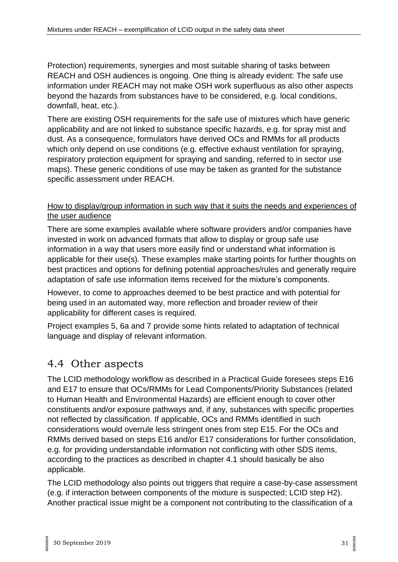Protection) requirements, synergies and most suitable sharing of tasks between REACH and OSH audiences is ongoing. One thing is already evident: The safe use information under REACH may not make OSH work superfluous as also other aspects beyond the hazards from substances have to be considered, e.g. local conditions, downfall, heat, etc.).

There are existing OSH requirements for the safe use of mixtures which have generic applicability and are not linked to substance specific hazards, e.g. for spray mist and dust. As a consequence, formulators have derived OCs and RMMs for all products which only depend on use conditions (e.g. effective exhaust ventilation for spraying, respiratory protection equipment for spraying and sanding, referred to in sector use maps). These generic conditions of use may be taken as granted for the substance specific assessment under REACH.

#### How to display/group information in such way that it suits the needs and experiences of the user audience

There are some examples available where software providers and/or companies have invested in work on advanced formats that allow to display or group safe use information in a way that users more easily find or understand what information is applicable for their use(s). These examples make starting points for further thoughts on best practices and options for defining potential approaches/rules and generally require adaptation of safe use information items received for the mixture's components.

However, to come to approaches deemed to be best practice and with potential for being used in an automated way, more reflection and broader review of their applicability for different cases is required.

Project examples 5, 6a and 7 provide some hints related to adaptation of technical language and display of relevant information.

### <span id="page-30-0"></span>4.4 Other aspects

The LCID methodology workflow as described in a Practical Guide foresees steps E16 and E17 to ensure that OCs/RMMs for Lead Components/Priority Substances (related to Human Health and Environmental Hazards) are efficient enough to cover other constituents and/or exposure pathways and, if any, substances with specific properties not reflected by classification. If applicable, OCs and RMMs identified in such considerations would overrule less stringent ones from step E15. For the OCs and RMMs derived based on steps E16 and/or E17 considerations for further consolidation, e.g. for providing understandable information not conflicting with other SDS items, according to the practices as described in chapter 4.1 should basically be also applicable.

The LCID methodology also points out triggers that require a case-by-case assessment (e.g. if interaction between components of the mixture is suspected; LCID step H2). Another practical issue might be a component not contributing to the classification of a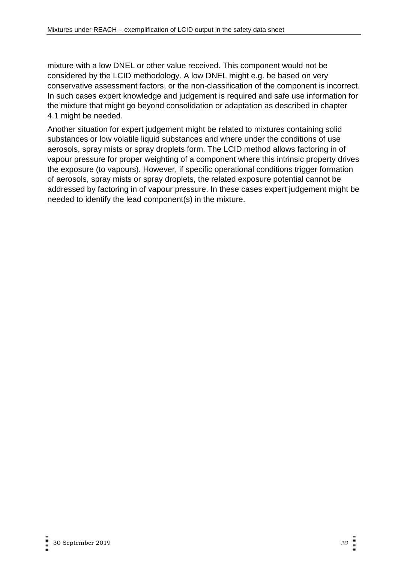mixture with a low DNEL or other value received. This component would not be considered by the LCID methodology. A low DNEL might e.g. be based on very conservative assessment factors, or the non-classification of the component is incorrect. In such cases expert knowledge and judgement is required and safe use information for the mixture that might go beyond consolidation or adaptation as described in chapter 4.1 might be needed.

Another situation for expert judgement might be related to mixtures containing solid substances or low volatile liquid substances and where under the conditions of use aerosols, spray mists or spray droplets form. The LCID method allows factoring in of vapour pressure for proper weighting of a component where this intrinsic property drives the exposure (to vapours). However, if specific operational conditions trigger formation of aerosols, spray mists or spray droplets, the related exposure potential cannot be addressed by factoring in of vapour pressure. In these cases expert judgement might be needed to identify the lead component(s) in the mixture.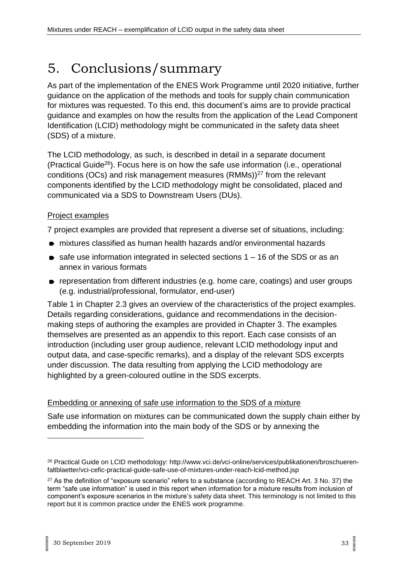# <span id="page-32-0"></span>5. Conclusions/summary

As part of the implementation of the ENES Work Programme until 2020 initiative, further guidance on the application of the methods and tools for supply chain communication for mixtures was requested. To this end, this document's aims are to provide practical guidance and examples on how the results from the application of the Lead Component Identification (LCID) methodology might be communicated in the safety data sheet (SDS) of a mixture.

The LCID methodology, as such, is described in detail in a separate document (Practical Guide<sup>26</sup>). Focus here is on how the safe use information (i.e., operational conditions (OCs) and risk management measures (RMMs))<sup>27</sup> from the relevant components identified by the LCID methodology might be consolidated, placed and communicated via a SDS to Downstream Users (DUs).

#### Project examples

7 project examples are provided that represent a diverse set of situations, including:

- mixtures classified as human health hazards and/or environmental hazards
- $\bullet$  safe use information integrated in selected sections 1 16 of the SDS or as an annex in various formats
- **P** representation from different industries (e.g. home care, coatings) and user groups (e.g. industrial/professional, formulator, end-user)

Table 1 in Chapter 2.3 gives an overview of the characteristics of the project examples. Details regarding considerations, guidance and recommendations in the decisionmaking steps of authoring the examples are provided in Chapter 3. The examples themselves are presented as an appendix to this report. Each case consists of an introduction (including user group audience, relevant LCID methodology input and output data, and case-specific remarks), and a display of the relevant SDS excerpts under discussion. The data resulting from applying the LCID methodology are highlighted by a green-coloured outline in the SDS excerpts.

#### Embedding or annexing of safe use information to the SDS of a mixture

Safe use information on mixtures can be communicated down the supply chain either by embedding the information into the main body of the SDS or by annexing the

<sup>26</sup> Practical Guide on LCID methodology: http://www.vci.de/vci-online/services/publikationen/broschuerenfaltblaetter/vci-cefic-practical-guide-safe-use-of-mixtures-under-reach-lcid-method.jsp

<sup>&</sup>lt;sup>27</sup> As the definition of "exposure scenario" refers to a substance (according to REACH Art. 3 No. 37) the term "safe use information" is used in this report when information for a mixture results from inclusion of component's exposure scenarios in the mixture's safety data sheet. This terminology is not limited to this report but it is common practice under the ENES work programme.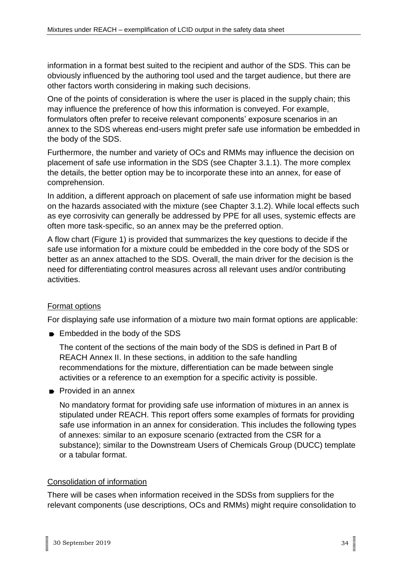information in a format best suited to the recipient and author of the SDS. This can be obviously influenced by the authoring tool used and the target audience, but there are other factors worth considering in making such decisions.

One of the points of consideration is where the user is placed in the supply chain; this may influence the preference of how this information is conveyed. For example, formulators often prefer to receive relevant components' exposure scenarios in an annex to the SDS whereas end-users might prefer safe use information be embedded in the body of the SDS.

Furthermore, the number and variety of OCs and RMMs may influence the decision on placement of safe use information in the SDS (see Chapter 3.1.1). The more complex the details, the better option may be to incorporate these into an annex, for ease of comprehension.

In addition, a different approach on placement of safe use information might be based on the hazards associated with the mixture (see Chapter 3.1.2). While local effects such as eye corrosivity can generally be addressed by PPE for all uses, systemic effects are often more task-specific, so an annex may be the preferred option.

A flow chart (Figure 1) is provided that summarizes the key questions to decide if the safe use information for a mixture could be embedded in the core body of the SDS or better as an annex attached to the SDS. Overall, the main driver for the decision is the need for differentiating control measures across all relevant uses and/or contributing activities.

#### Format options

For displaying safe use information of a mixture two main format options are applicable:

■ Embedded in the body of the SDS

The content of the sections of the main body of the SDS is defined in Part B of REACH Annex II. In these sections, in addition to the safe handling recommendations for the mixture, differentiation can be made between single activities or a reference to an exemption for a specific activity is possible.

**Provided in an annex** 

No mandatory format for providing safe use information of mixtures in an annex is stipulated under REACH. This report offers some examples of formats for providing safe use information in an annex for consideration. This includes the following types of annexes: similar to an exposure scenario (extracted from the CSR for a substance); similar to the Downstream Users of Chemicals Group (DUCC) template or a tabular format.

#### Consolidation of information

There will be cases when information received in the SDSs from suppliers for the relevant components (use descriptions, OCs and RMMs) might require consolidation to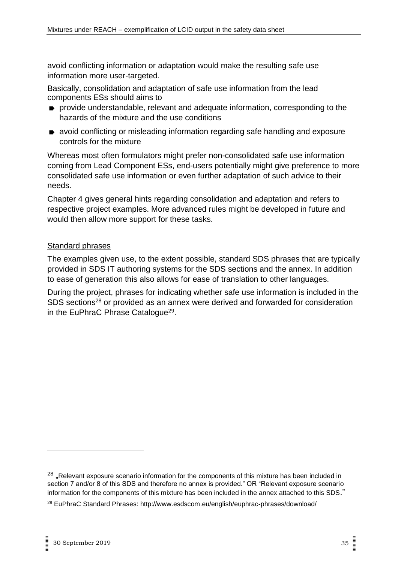avoid conflicting information or adaptation would make the resulting safe use information more user-targeted.

Basically, consolidation and adaptation of safe use information from the lead components ESs should aims to

- **P** provide understandable, relevant and adequate information, corresponding to the hazards of the mixture and the use conditions
- avoid conflicting or misleading information regarding safe handling and exposure controls for the mixture

Whereas most often formulators might prefer non-consolidated safe use information coming from Lead Component ESs, end-users potentially might give preference to more consolidated safe use information or even further adaptation of such advice to their needs.

Chapter 4 gives general hints regarding consolidation and adaptation and refers to respective project examples. More advanced rules might be developed in future and would then allow more support for these tasks.

#### Standard phrases

The examples given use, to the extent possible, standard SDS phrases that are typically provided in SDS IT authoring systems for the SDS sections and the annex. In addition to ease of generation this also allows for ease of translation to other languages.

During the project, phrases for indicating whether safe use information is included in the SDS sections<sup>28</sup> or provided as an annex were derived and forwarded for consideration in the EuPhraC Phrase Catalogue<sup>29</sup>.

<sup>&</sup>lt;sup>28</sup> "Relevant exposure scenario information for the components of this mixture has been included in section 7 and/or 8 of this SDS and therefore no annex is provided." OR "Relevant exposure scenario information for the components of this mixture has been included in the annex attached to this SDS."

<sup>29</sup> EuPhraC Standard Phrases: http://www.esdscom.eu/english/euphrac-phrases/download/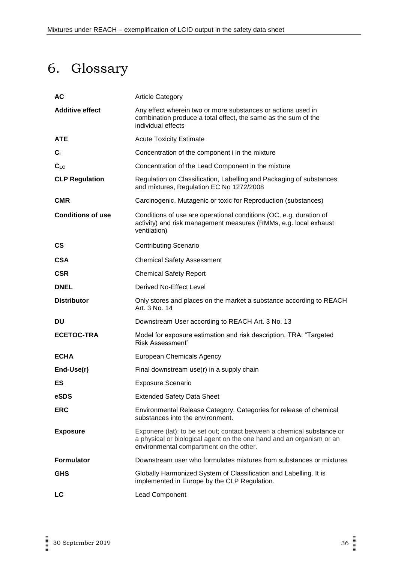# <span id="page-35-0"></span>6. Glossary

| <b>AC</b>                | <b>Article Category</b>                                                                                                                                                                   |
|--------------------------|-------------------------------------------------------------------------------------------------------------------------------------------------------------------------------------------|
| <b>Additive effect</b>   | Any effect wherein two or more substances or actions used in<br>combination produce a total effect, the same as the sum of the<br>individual effects                                      |
| <b>ATE</b>               | <b>Acute Toxicity Estimate</b>                                                                                                                                                            |
| C <sub>i</sub>           | Concentration of the component i in the mixture                                                                                                                                           |
| $C_{LC}$                 | Concentration of the Lead Component in the mixture                                                                                                                                        |
| <b>CLP Regulation</b>    | Regulation on Classification, Labelling and Packaging of substances<br>and mixtures, Regulation EC No 1272/2008                                                                           |
| <b>CMR</b>               | Carcinogenic, Mutagenic or toxic for Reproduction (substances)                                                                                                                            |
| <b>Conditions of use</b> | Conditions of use are operational conditions (OC, e.g. duration of<br>activity) and risk management measures (RMMs, e.g. local exhaust<br>ventilation)                                    |
| $\mathsf{cs}$            | <b>Contributing Scenario</b>                                                                                                                                                              |
| <b>CSA</b>               | <b>Chemical Safety Assessment</b>                                                                                                                                                         |
| <b>CSR</b>               | <b>Chemical Safety Report</b>                                                                                                                                                             |
| <b>DNEL</b>              | Derived No-Effect Level                                                                                                                                                                   |
| <b>Distributor</b>       | Only stores and places on the market a substance according to REACH<br>Art. 3 No. 14                                                                                                      |
| DU                       | Downstream User according to REACH Art. 3 No. 13                                                                                                                                          |
| <b>ECETOC-TRA</b>        | Model for exposure estimation and risk description. TRA: "Targeted<br>Risk Assessment"                                                                                                    |
| <b>ECHA</b>              | <b>European Chemicals Agency</b>                                                                                                                                                          |
| End-Use(r)               | Final downstream use(r) in a supply chain                                                                                                                                                 |
| ES                       | <b>Exposure Scenario</b>                                                                                                                                                                  |
| eSDS                     | <b>Extended Safety Data Sheet</b>                                                                                                                                                         |
| <b>ERC</b>               | Environmental Release Category. Categories for release of chemical<br>substances into the environment.                                                                                    |
| <b>Exposure</b>          | Exponere (lat): to be set out; contact between a chemical substance or<br>a physical or biological agent on the one hand and an organism or an<br>environmental compartment on the other. |
| <b>Formulator</b>        | Downstream user who formulates mixtures from substances or mixtures                                                                                                                       |
| <b>GHS</b>               | Globally Harmonized System of Classification and Labelling. It is<br>implemented in Europe by the CLP Regulation.                                                                         |
| LC                       | Lead Component                                                                                                                                                                            |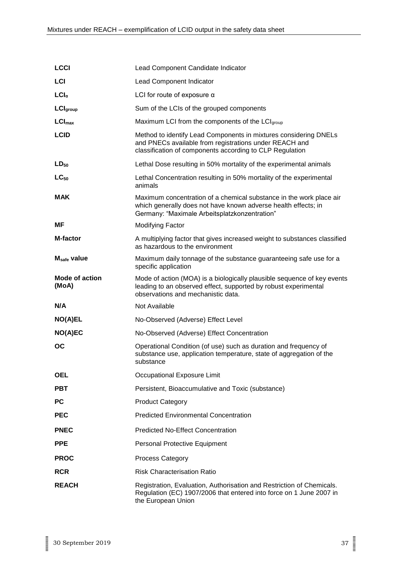| <b>LCCI</b>                    | Lead Component Candidate Indicator                                                                                                                                                     |
|--------------------------------|----------------------------------------------------------------------------------------------------------------------------------------------------------------------------------------|
| LCI                            | Lead Component Indicator                                                                                                                                                               |
| $LCl_{\alpha}$                 | LCI for route of exposure $\alpha$                                                                                                                                                     |
| LCI <sub>group</sub>           | Sum of the LCIs of the grouped components                                                                                                                                              |
| $LCI_{max}$                    | Maximum LCI from the components of the LCIgroup                                                                                                                                        |
| <b>LCID</b>                    | Method to identify Lead Components in mixtures considering DNELs<br>and PNECs available from registrations under REACH and<br>classification of components according to CLP Regulation |
| $LD_{50}$                      | Lethal Dose resulting in 50% mortality of the experimental animals                                                                                                                     |
| $LC_{50}$                      | Lethal Concentration resulting in 50% mortality of the experimental<br>animals                                                                                                         |
| <b>MAK</b>                     | Maximum concentration of a chemical substance in the work place air<br>which generally does not have known adverse health effects; in<br>Germany: "Maximale Arbeitsplatzkonzentration" |
| <b>MF</b>                      | <b>Modifying Factor</b>                                                                                                                                                                |
| <b>M-factor</b>                | A multiplying factor that gives increased weight to substances classified<br>as hazardous to the environment                                                                           |
| M <sub>safe</sub> value        | Maximum daily tonnage of the substance guaranteeing safe use for a<br>specific application                                                                                             |
| <b>Mode of action</b><br>(MoA) | Mode of action (MOA) is a biologically plausible sequence of key events<br>leading to an observed effect, supported by robust experimental<br>observations and mechanistic data.       |
| N/A                            | Not Available                                                                                                                                                                          |
| <b>NO(A)EL</b>                 | No-Observed (Adverse) Effect Level                                                                                                                                                     |
| NO(A)EC                        | No-Observed (Adverse) Effect Concentration                                                                                                                                             |
| ОC                             | Operational Condition (of use) such as duration and frequency of<br>substance use, application temperature, state of aggregation of the<br>substance                                   |
| <b>OEL</b>                     | Occupational Exposure Limit                                                                                                                                                            |
| <b>PBT</b>                     | Persistent, Bioaccumulative and Toxic (substance)                                                                                                                                      |
| <b>PC</b>                      | <b>Product Category</b>                                                                                                                                                                |
| <b>PEC</b>                     | <b>Predicted Environmental Concentration</b>                                                                                                                                           |
| <b>PNEC</b>                    | <b>Predicted No-Effect Concentration</b>                                                                                                                                               |
| <b>PPE</b>                     | Personal Protective Equipment                                                                                                                                                          |
| <b>PROC</b>                    | <b>Process Category</b>                                                                                                                                                                |
| <b>RCR</b>                     | <b>Risk Characterisation Ratio</b>                                                                                                                                                     |
| <b>REACH</b>                   | Registration, Evaluation, Authorisation and Restriction of Chemicals.<br>Regulation (EC) 1907/2006 that entered into force on 1 June 2007 in<br>the European Union                     |